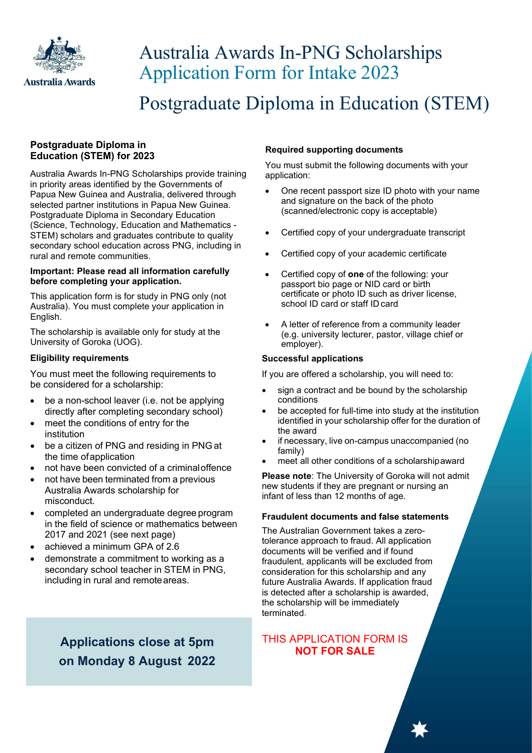

## Australia Awards In-PNG Scholarships Application Form for Intake 2023

Postgraduate Diploma in Education (STEM)

## **Postgraduate Diploma in Education (STEM) for 2023**

Australia Awards In-PNG Scholarships provide training in priority areas identified by the Governments of Papua New Guinea and Australia, delivered through selected partner institutions in Papua New Guinea. Postgraduate Diploma in Secondary Education (Science, Technology, Education and Mathematics - STEM) scholars and graduates contribute to quality secondary school education across PNG, including in rural and remote communities.

#### **Important: Please read all information carefully before completing your application.**

This application form is for study in PNG only (not Australia). You must complete your application in English.

The scholarship is available only for study at the University of Goroka (UOG).

## **Eligibility requirements**

You must meet the following requirements to be considered for a scholarship:

- be a non-school leaver (i.e. not be applying directly after completing secondary school)
- meet the conditions of entry for the institution
- be a citizen of PNG and residing in PNG at the time ofapplication
- not have been convicted of a criminaloffence
- not have been terminated from a previous Australia Awards scholarship for misconduct.
- completed an undergraduate degree program in the field of science or mathematics between 2017 and 2021 (see next page)
- achieved a minimum GPA of 2.6
- demonstrate a commitment to working as a secondary school teacher in STEM in PNG, including in rural and remoteareas.

## **Required supporting documents**

You must submit the following documents with your application:

- One recent passport size ID photo with your name and signature on the back of the photo (scanned/electronic copy is acceptable)
- Certified copy of your undergraduate transcript
- Certified copy of your academic certificate
- Certified copy of **one** of the following: your passport bio page or NID card or birth certificate or photo ID such as driver license, school ID card or staff ID card
- A letter of reference from a community leader (e.g. university lecturer, pastor, village chief or employer).

## **Successful applications**

If you are offered a scholarship, you will need to:

- sign a contract and be bound by the scholarship conditions
- be accepted for full-time into study at the institution identified in your scholarship offer for the duration of the award
- if necessary, live on-campus unaccompanied (no family)
- meet all other conditions of a scholarshipaward

**Please note**: The University of Goroka will not admit new students if they are pregnant or nursing an infant of less than 12 months of age.

### **Fraudulent documents and false statements**

The Australian Government takes a zerotolerance approach to fraud. All application documents will be verified and if found fraudulent, applicants will be excluded from consideration for this scholarship and any future Australia Awards. If application fraud is detected after a scholarship is awarded, the scholarship will be immediately terminated.

**Applications close at 5pm on Monday 8 August 2022** 

# THIS APPLICATION FORM IS<br>NOT FOR SALE

2 **Postgraduate Diploma in Education (STEM)**| Intake 2023 Application Form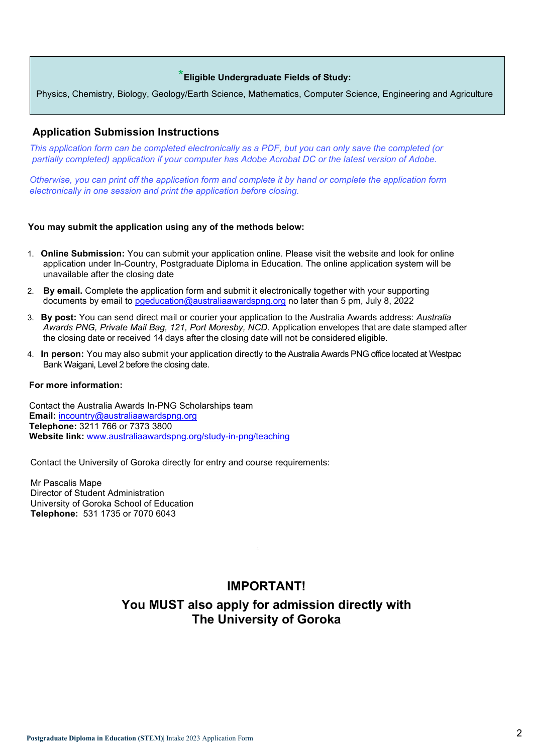## \***Eligible Undergraduate Fields of Study:**

Physics, Chemistry, Biology, Geology/Earth Science, Mathematics, Computer Science, Engineering and Agriculture

## **Application Submission Instructions**

 *This application form can be completed electronically as a PDF, but you can only save the completed (or partially completed) application if your computer has Adobe Acrobat DC or the latest version of Adobe.*

 *Otherwise, you can print off the application form and complete it by hand or complete the application form electronically in one session and print the application before closing.*

#### **You may submit the application using any of the methods below:**

- 1. **Online Submission:** You can submit your application online. Please visit the website and look for online application under In-Country, Postgraduate Diploma in Education. The online application system will be unavailable after the closing date
- 2. **By email.** Complete the application form and submit it electronically together with your supporting documents by email to pgeducation@australiaawardspng.org no later than 5 pm, July 8, 2022
- 3. **By post:** You can send direct mail or courier your application to the Australia Awards address: *Australia Awards PNG, Private Mail Bag, 121, Port Moresby, NCD*. Application envelopes that are date stamped after the closing date or received 14 days after the closing date will not be considered eligible.
- 4. **In person:** You may also submit your application directly to the Australia Awards PNG office located at Westpac Bank Waigani, Level 2 before the closing date.

#### **For more information:**

 Contact the Australia Awards In-PNG Scholarships team  **Email:** incountry@australiaawardspng.org  **Telephone:** 3211 766 or 7373 3800  **Website link:** www.australiaawardspng.org/study-in-png/teaching

Contact the University of Goroka directly for entry and course requirements:

 Mr Pascalis Mape Director of Student Administration University of Goroka School of Education  **Telephone:** 531 1735 or 7070 6043

## **IMPORTANT!**

## **You MUST also apply for admission directly with The University of Goroka**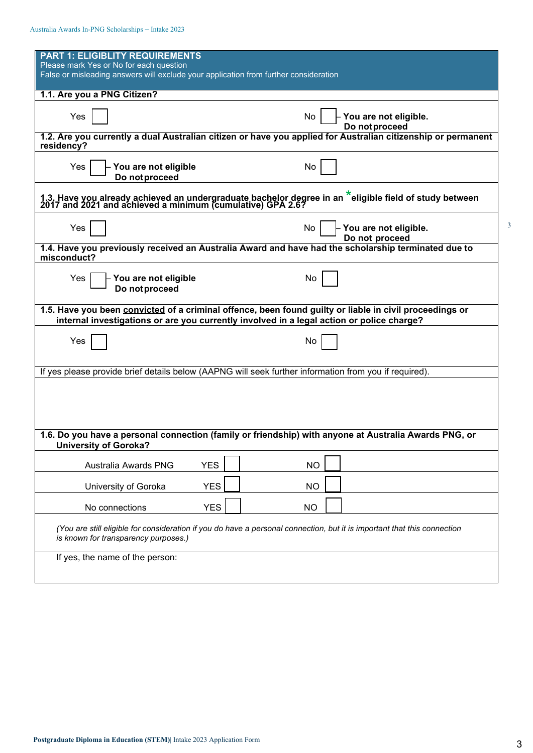| <b>PART 1: ELIGIBLITY REQUIREMENTS</b>                                                                                                                                           |            |           |                |                       |  |
|----------------------------------------------------------------------------------------------------------------------------------------------------------------------------------|------------|-----------|----------------|-----------------------|--|
| Please mark Yes or No for each question<br>False or misleading answers will exclude your application from further consideration                                                  |            |           |                |                       |  |
| 1.1. Are you a PNG Citizen?                                                                                                                                                      |            |           |                |                       |  |
|                                                                                                                                                                                  |            |           |                |                       |  |
| Yes                                                                                                                                                                              |            | No        | Do not proceed | You are not eligible. |  |
| 1.2. Are you currently a dual Australian citizen or have you applied for Australian citizenship or permanent<br>residency?                                                       |            |           |                |                       |  |
| Yes<br>You are not eligible                                                                                                                                                      |            | No        |                |                       |  |
| Do not proceed                                                                                                                                                                   |            |           |                |                       |  |
| 1.3. Have you already achieved an undergraduate bachelor degree in an <sup>*</sup> eligible field of study between<br>2017 and 2021 and achieved a minimum (cumulative) GPA 2.6? |            |           |                |                       |  |
| Yes                                                                                                                                                                              |            | No        |                | You are not eligible. |  |
| 1.4. Have you previously received an Australia Award and have had the scholarship terminated due to<br>misconduct?                                                               |            |           | Do not proceed |                       |  |
| You are not eligible<br>Yes                                                                                                                                                      |            | No        |                |                       |  |
| Do not proceed                                                                                                                                                                   |            |           |                |                       |  |
| 1.5. Have you been convicted of a criminal offence, been found guilty or liable in civil proceedings or                                                                          |            |           |                |                       |  |
| internal investigations or are you currently involved in a legal action or police charge?                                                                                        |            |           |                |                       |  |
| Yes                                                                                                                                                                              |            | No        |                |                       |  |
| If yes please provide brief details below (AAPNG will seek further information from you if required).                                                                            |            |           |                |                       |  |
|                                                                                                                                                                                  |            |           |                |                       |  |
|                                                                                                                                                                                  |            |           |                |                       |  |
|                                                                                                                                                                                  |            |           |                |                       |  |
| 1.6. Do you have a personal connection (family or friendship) with anyone at Australia Awards PNG, or<br><b>University of Goroka?</b>                                            |            |           |                |                       |  |
| Australia Awards PNG                                                                                                                                                             | <b>YES</b> | <b>NO</b> |                |                       |  |
| University of Goroka                                                                                                                                                             | <b>YES</b> | <b>NO</b> |                |                       |  |
| No connections                                                                                                                                                                   | <b>YES</b> | <b>NO</b> |                |                       |  |
| (You are still eligible for consideration if you do have a personal connection, but it is important that this connection<br>is known for transparency purposes.)                 |            |           |                |                       |  |
| If yes, the name of the person:                                                                                                                                                  |            |           |                |                       |  |

3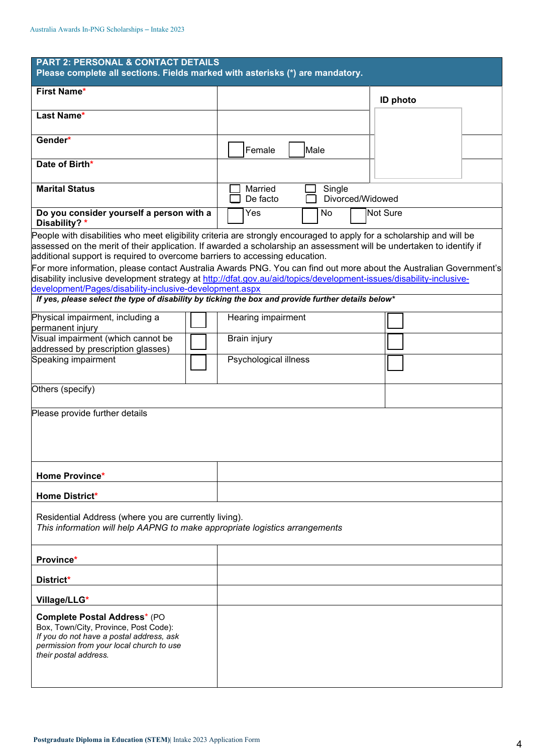| <b>PART 2: PERSONAL &amp; CONTACT DETAILS</b><br>Please complete all sections. Fields marked with asterisks (*) are mandatory.                                                                                                                                                                                                                                                                                                                                                                                                                                                                                                       |  |                       |        |                  |                 |  |
|--------------------------------------------------------------------------------------------------------------------------------------------------------------------------------------------------------------------------------------------------------------------------------------------------------------------------------------------------------------------------------------------------------------------------------------------------------------------------------------------------------------------------------------------------------------------------------------------------------------------------------------|--|-----------------------|--------|------------------|-----------------|--|
| First Name*                                                                                                                                                                                                                                                                                                                                                                                                                                                                                                                                                                                                                          |  |                       |        |                  | <b>ID photo</b> |  |
| Last Name*                                                                                                                                                                                                                                                                                                                                                                                                                                                                                                                                                                                                                           |  |                       |        |                  |                 |  |
| Gender*                                                                                                                                                                                                                                                                                                                                                                                                                                                                                                                                                                                                                              |  | Female                | Male   |                  |                 |  |
| Date of Birth*                                                                                                                                                                                                                                                                                                                                                                                                                                                                                                                                                                                                                       |  |                       |        |                  |                 |  |
| <b>Marital Status</b>                                                                                                                                                                                                                                                                                                                                                                                                                                                                                                                                                                                                                |  | Married<br>De facto   | Single | Divorced/Widowed |                 |  |
| Do you consider yourself a person with a<br>Disability? *                                                                                                                                                                                                                                                                                                                                                                                                                                                                                                                                                                            |  | Yes                   | No     |                  | Not Sure        |  |
| People with disabilities who meet eligibility criteria are strongly encouraged to apply for a scholarship and will be<br>assessed on the merit of their application. If awarded a scholarship an assessment will be undertaken to identify if<br>additional support is required to overcome barriers to accessing education.<br>For more information, please contact Australia Awards PNG. You can find out more about the Australian Government's<br>disability inclusive development strategy at http://dfat.gov.au/aid/topics/development-issues/disability-inclusive-<br>development/Pages/disability-inclusive-development.aspx |  |                       |        |                  |                 |  |
| If yes, please select the type of disability by ticking the box and provide further details below*                                                                                                                                                                                                                                                                                                                                                                                                                                                                                                                                   |  |                       |        |                  |                 |  |
| Physical impairment, including a<br>permanent injury                                                                                                                                                                                                                                                                                                                                                                                                                                                                                                                                                                                 |  | Hearing impairment    |        |                  |                 |  |
| Visual impairment (which cannot be<br>addressed by prescription glasses)                                                                                                                                                                                                                                                                                                                                                                                                                                                                                                                                                             |  | <b>Brain injury</b>   |        |                  |                 |  |
| Speaking impairment                                                                                                                                                                                                                                                                                                                                                                                                                                                                                                                                                                                                                  |  | Psychological illness |        |                  |                 |  |
| Others (specify)                                                                                                                                                                                                                                                                                                                                                                                                                                                                                                                                                                                                                     |  |                       |        |                  |                 |  |
| Please provide further details                                                                                                                                                                                                                                                                                                                                                                                                                                                                                                                                                                                                       |  |                       |        |                  |                 |  |
| Home Province*                                                                                                                                                                                                                                                                                                                                                                                                                                                                                                                                                                                                                       |  |                       |        |                  |                 |  |
| <b>Home District*</b>                                                                                                                                                                                                                                                                                                                                                                                                                                                                                                                                                                                                                |  |                       |        |                  |                 |  |
| Residential Address (where you are currently living).<br>This information will help AAPNG to make appropriate logistics arrangements                                                                                                                                                                                                                                                                                                                                                                                                                                                                                                 |  |                       |        |                  |                 |  |
| Province*                                                                                                                                                                                                                                                                                                                                                                                                                                                                                                                                                                                                                            |  |                       |        |                  |                 |  |
| District*                                                                                                                                                                                                                                                                                                                                                                                                                                                                                                                                                                                                                            |  |                       |        |                  |                 |  |
| Village/LLG*                                                                                                                                                                                                                                                                                                                                                                                                                                                                                                                                                                                                                         |  |                       |        |                  |                 |  |
| Complete Postal Address* (PO<br>Box, Town/City, Province, Post Code):<br>If you do not have a postal address, ask<br>permission from your local church to use<br>their postal address.                                                                                                                                                                                                                                                                                                                                                                                                                                               |  |                       |        |                  |                 |  |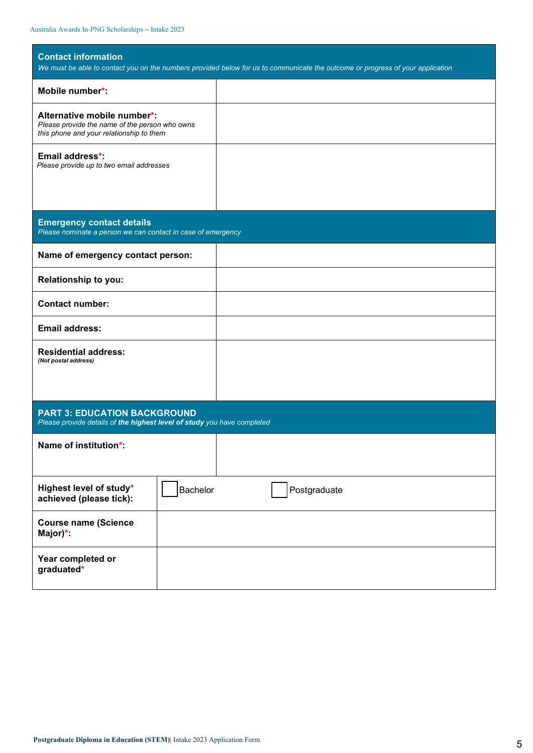| <b>Contact information</b><br>We must be able to contact you on the numbers provided below for us to communicate the outcome or progress of your application |              |  |  |  |
|--------------------------------------------------------------------------------------------------------------------------------------------------------------|--------------|--|--|--|
| Mobile number*                                                                                                                                               |              |  |  |  |
| Alternative mobile number*:<br>Please provide the name of the person who owns<br>this phone and your relationship to them                                    |              |  |  |  |
| Email address*:<br>Please provide up to two email addresses                                                                                                  |              |  |  |  |
|                                                                                                                                                              |              |  |  |  |
| <b>Emergency contact details</b><br>Please nominate a person we can contact in case of emergency                                                             |              |  |  |  |
| Name of emergency contact person:                                                                                                                            |              |  |  |  |
| Relationship to you:                                                                                                                                         |              |  |  |  |
| <b>Contact number:</b>                                                                                                                                       |              |  |  |  |
| <b>Email address:</b>                                                                                                                                        |              |  |  |  |
| <b>Residential address:</b><br>(Not postal address)                                                                                                          |              |  |  |  |
| <b>PART 3: EDUCATION BACKGROUND</b><br>Please provide details of the highest level of study you have completed                                               |              |  |  |  |
| Name of institution*:                                                                                                                                        |              |  |  |  |
| Highest level of study*<br>Bachelor<br>achieved (please tick):                                                                                               | Postgraduate |  |  |  |
| <b>Course name (Science</b><br>Major)*:                                                                                                                      |              |  |  |  |
| Year completed or<br>graduated*                                                                                                                              |              |  |  |  |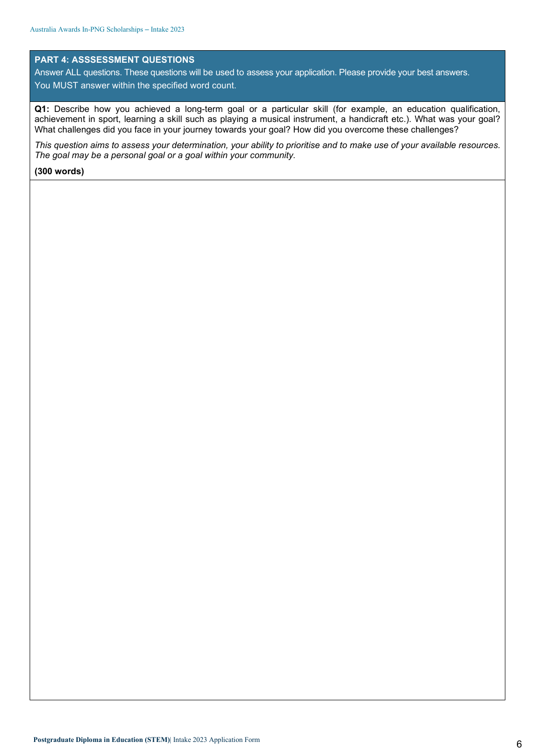#### **PART 4: ASSSESSMENT QUESTIONS**

Answer ALL questions. These questions will be used to assess your application. Please provide your best answers. You MUST answer within the specified word count.

**Q1:** Describe how you achieved a long-term goal or a particular skill (for example, an education qualification, achievement in sport, learning a skill such as playing a musical instrument, a handicraft etc.). What was your goal? What challenges did you face in your journey towards your goal? How did you overcome these challenges?

*This question aims to assess your determination, your ability to prioritise and to make use of your available resources. The goal may be a personal goal or a goal within your community.*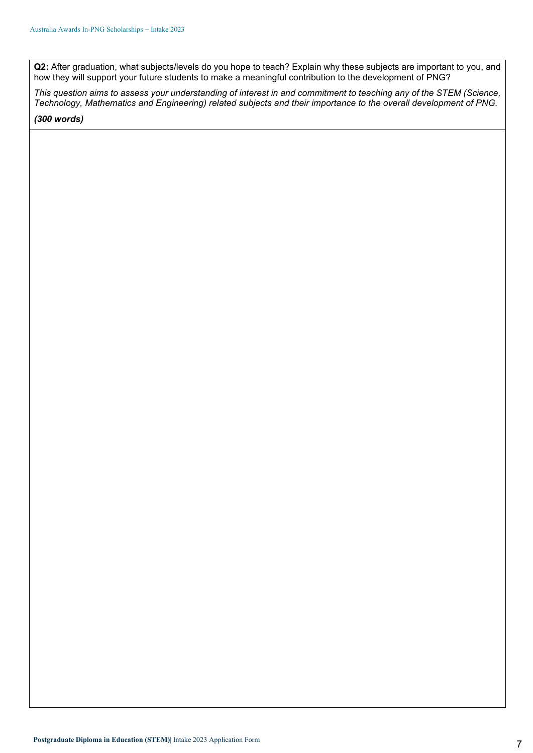**Q2:** After graduation, what subjects/levels do you hope to teach? Explain why these subjects are important to you, and how they will support your future students to make a meaningful contribution to the development of PNG?

*This question aims to assess your understanding of interest in and commitment to teaching any of the STEM (Science, Technology, Mathematics and Engineering) related subjects and their importance to the overall development of PNG.*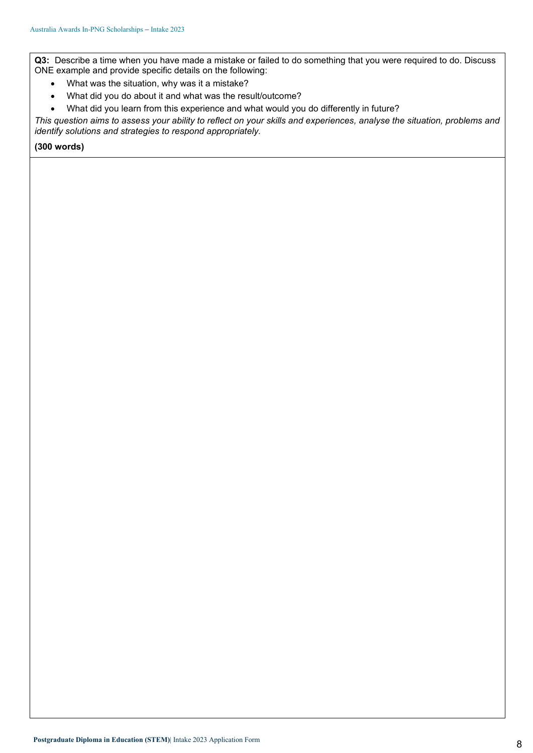**Q3:** Describe a time when you have made a mistake or failed to do something that you were required to do. Discuss ONE example and provide specific details on the following:

- What was the situation, why was it a mistake?
- What did you do about it and what was the result/outcome?
- What did you learn from this experience and what would you do differently in future?

*This question aims to assess your ability to reflect on your skills and experiences, analyse the situation, problems and identify solutions and strategies to respond appropriately.*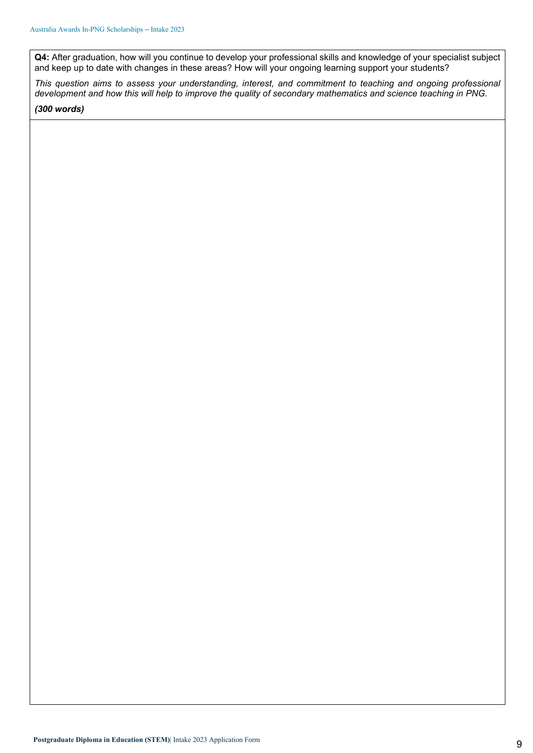**Q4:** After graduation, how will you continue to develop your professional skills and knowledge of your specialist subject and keep up to date with changes in these areas? How will your ongoing learning support your students?

*This question aims to assess your understanding, interest, and commitment to teaching and ongoing professional development and how this will help to improve the quality of secondary mathematics and science teaching in PNG.*